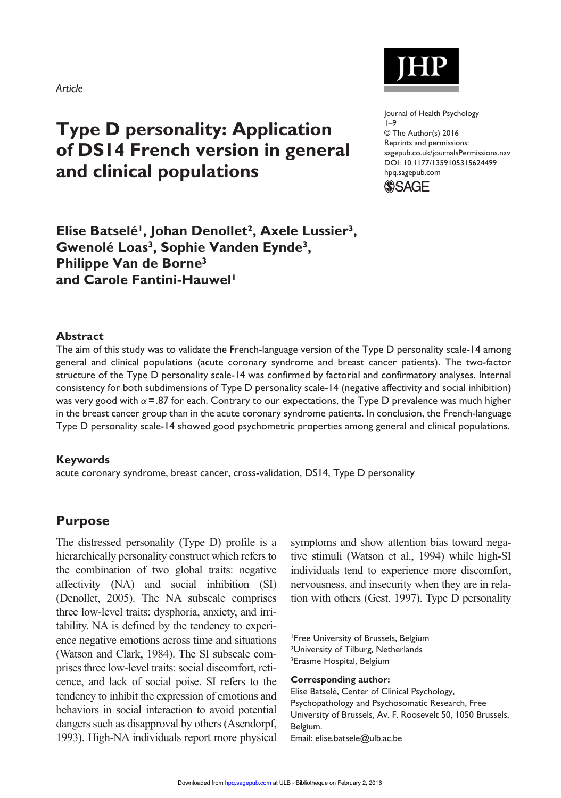# **Type D personality: Application of DS14 French version in general and clinical populations**

Journal of Health Psychology 1–9 © The Author(s) 2016 Reprints and permissions: sagepub.co.uk/journalsPermissions.nav DOI: 10.1177/1359105315624499 hpq.sagepub.com



## **Elise Batselé1, Johan Denollet2, Axele Lussier3, Gwenolé Loas3, Sophie Vanden Eynde3, Philippe Van de Borne3 and Carole Fantini-Hauwel1**

#### **Abstract**

The aim of this study was to validate the French-language version of the Type D personality scale-14 among general and clinical populations (acute coronary syndrome and breast cancer patients). The two-factor structure of the Type D personality scale-14 was confirmed by factorial and confirmatory analyses. Internal consistency for both subdimensions of Type D personality scale-14 (negative affectivity and social inhibition) was very good with  $\alpha$  =.87 for each. Contrary to our expectations, the Type D prevalence was much higher in the breast cancer group than in the acute coronary syndrome patients. In conclusion, the French-language Type D personality scale-14 showed good psychometric properties among general and clinical populations.

#### **Keywords**

acute coronary syndrome, breast cancer, cross-validation, DS14, Type D personality

## **Purpose**

The distressed personality (Type D) profile is a hierarchically personality construct which refers to the combination of two global traits: negative affectivity (NA) and social inhibition (SI) (Denollet, 2005). The NA subscale comprises three low-level traits: dysphoria, anxiety, and irritability. NA is defined by the tendency to experience negative emotions across time and situations (Watson and Clark, 1984). The SI subscale comprises three low-level traits: social discomfort, reticence, and lack of social poise. SI refers to the tendency to inhibit the expression of emotions and behaviors in social interaction to avoid potential dangers such as disapproval by others (Asendorpf, 1993). High-NA individuals report more physical

symptoms and show attention bias toward negative stimuli (Watson et al., 1994) while high-SI individuals tend to experience more discomfort, nervousness, and insecurity when they are in relation with others (Gest, 1997). Type D personality

1Free University of Brussels, Belgium 2University of Tilburg, Netherlands 3Erasme Hospital, Belgium

**Corresponding author:**

Elise Batselé, Center of Clinical Psychology, Psychopathology and Psychosomatic Research, Free University of Brussels, Av. F. Roosevelt 50, 1050 Brussels, Belgium.

Email: [elise.batsele@ulb.ac.be](mailto:elise.batsele@ulb.ac.be)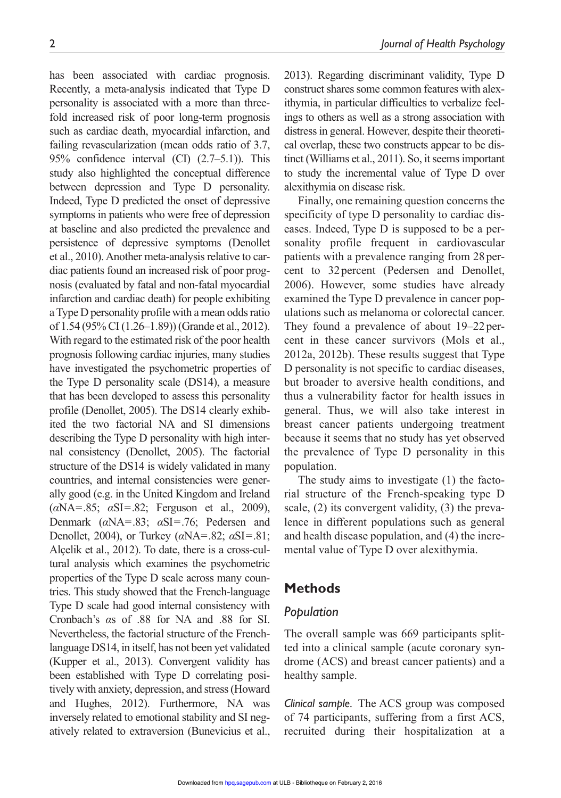has been associated with cardiac prognosis. Recently, a meta-analysis indicated that Type D personality is associated with a more than threefold increased risk of poor long-term prognosis such as cardiac death, myocardial infarction, and failing revascularization (mean odds ratio of 3.7, 95% confidence interval (CI) (2.7–5.1)). This study also highlighted the conceptual difference between depression and Type D personality. Indeed, Type D predicted the onset of depressive symptoms in patients who were free of depression at baseline and also predicted the prevalence and persistence of depressive symptoms (Denollet et al., 2010). Another meta-analysis relative to cardiac patients found an increased risk of poor prognosis (evaluated by fatal and non-fatal myocardial infarction and cardiac death) for people exhibiting a Type D personality profile with a mean odds ratio of 1.54 (95% CI (1.26–1.89)) (Grande et al., 2012). With regard to the estimated risk of the poor health prognosis following cardiac injuries, many studies have investigated the psychometric properties of the Type D personality scale (DS14), a measure that has been developed to assess this personality profile (Denollet, 2005). The DS14 clearly exhibited the two factorial NA and SI dimensions describing the Type D personality with high internal consistency (Denollet, 2005). The factorial structure of the DS14 is widely validated in many countries, and internal consistencies were generally good (e.g. in the United Kingdom and Ireland (*α*NA=.85; *α*SI=.82; Ferguson et al., 2009), Denmark (*α*NA=.83; *α*SI=.76; Pedersen and Denollet, 2004), or Turkey (*α*NA=.82; *α*SI=.81; Alçelik et al., 2012). To date, there is a cross-cultural analysis which examines the psychometric properties of the Type D scale across many countries. This study showed that the French-language Type D scale had good internal consistency with Cronbach's *α*s of .88 for NA and .88 for SI. Nevertheless, the factorial structure of the Frenchlanguage DS14, in itself, has not been yet validated (Kupper et al., 2013). Convergent validity has been established with Type D correlating positively with anxiety, depression, and stress (Howard and Hughes, 2012). Furthermore, NA was inversely related to emotional stability and SI negatively related to extraversion (Bunevicius et al.,

2013). Regarding discriminant validity, Type D construct shares some common features with alexithymia, in particular difficulties to verbalize feelings to others as well as a strong association with distress in general. However, despite their theoretical overlap, these two constructs appear to be distinct (Williams et al., 2011). So, it seems important to study the incremental value of Type D over alexithymia on disease risk.

Finally, one remaining question concerns the specificity of type D personality to cardiac diseases. Indeed, Type D is supposed to be a personality profile frequent in cardiovascular patients with a prevalence ranging from 28 percent to 32 percent (Pedersen and Denollet, 2006). However, some studies have already examined the Type D prevalence in cancer populations such as melanoma or colorectal cancer. They found a prevalence of about 19–22 percent in these cancer survivors (Mols et al., 2012a, 2012b). These results suggest that Type D personality is not specific to cardiac diseases, but broader to aversive health conditions, and thus a vulnerability factor for health issues in general. Thus, we will also take interest in breast cancer patients undergoing treatment because it seems that no study has yet observed the prevalence of Type D personality in this population.

The study aims to investigate (1) the factorial structure of the French-speaking type D scale, (2) its convergent validity, (3) the prevalence in different populations such as general and health disease population, and (4) the incremental value of Type D over alexithymia.

## **Methods**

#### *Population*

The overall sample was 669 participants splitted into a clinical sample (acute coronary syndrome (ACS) and breast cancer patients) and a healthy sample.

*Clinical sample.* The ACS group was composed of 74 participants, suffering from a first ACS, recruited during their hospitalization at a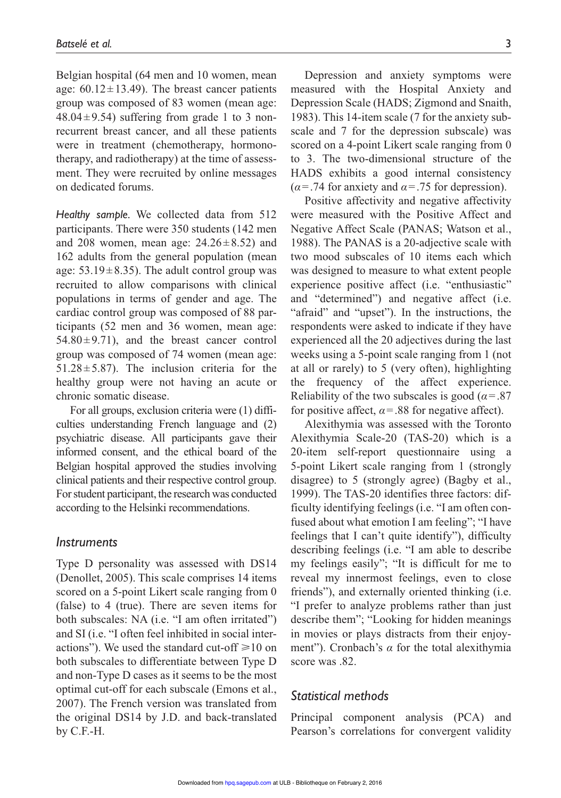Belgian hospital (64 men and 10 women, mean age:  $60.12 \pm 13.49$ ). The breast cancer patients group was composed of 83 women (mean age:  $48.04 \pm 9.54$ ) suffering from grade 1 to 3 nonrecurrent breast cancer, and all these patients were in treatment (chemotherapy, hormonotherapy, and radiotherapy) at the time of assessment. They were recruited by online messages on dedicated forums.

*Healthy sample.* We collected data from 512 participants. There were 350 students (142 men and 208 women, mean age:  $24.26 \pm 8.52$ ) and 162 adults from the general population (mean age:  $53.19 \pm 8.35$ ). The adult control group was recruited to allow comparisons with clinical populations in terms of gender and age. The cardiac control group was composed of 88 participants (52 men and 36 women, mean age:  $54.80 \pm 9.71$ , and the breast cancer control group was composed of 74 women (mean age: 51.28 $\pm$ 5.87). The inclusion criteria for the healthy group were not having an acute or chronic somatic disease.

For all groups, exclusion criteria were (1) difficulties understanding French language and (2) psychiatric disease. All participants gave their informed consent, and the ethical board of the Belgian hospital approved the studies involving clinical patients and their respective control group. For student participant, the research was conducted according to the Helsinki recommendations.

#### *Instruments*

Type D personality was assessed with DS14 (Denollet, 2005). This scale comprises 14 items scored on a 5-point Likert scale ranging from 0 (false) to 4 (true). There are seven items for both subscales: NA (i.e. "I am often irritated") and SI (i.e. "I often feel inhibited in social interactions"). We used the standard cut-off  $\geq 10$  on both subscales to differentiate between Type D and non-Type D cases as it seems to be the most optimal cut-off for each subscale (Emons et al., 2007). The French version was translated from the original DS14 by J.D. and back-translated by C.F.-H.

Depression and anxiety symptoms were measured with the Hospital Anxiety and Depression Scale (HADS; Zigmond and Snaith, 1983). This 14-item scale (7 for the anxiety subscale and 7 for the depression subscale) was scored on a 4-point Likert scale ranging from 0 to 3. The two-dimensional structure of the HADS exhibits a good internal consistency  $(\alpha = .74$  for anxiety and  $\alpha = .75$  for depression).

Positive affectivity and negative affectivity were measured with the Positive Affect and Negative Affect Scale (PANAS; Watson et al., 1988). The PANAS is a 20-adjective scale with two mood subscales of 10 items each which was designed to measure to what extent people experience positive affect (i.e. "enthusiastic" and "determined") and negative affect (i.e. "afraid" and "upset"). In the instructions, the respondents were asked to indicate if they have experienced all the 20 adjectives during the last weeks using a 5-point scale ranging from 1 (not at all or rarely) to 5 (very often), highlighting the frequency of the affect experience. Reliability of the two subscales is good ( $\alpha$ =.87) for positive affect,  $\alpha$  = .88 for negative affect).

Alexithymia was assessed with the Toronto Alexithymia Scale-20 (TAS-20) which is a 20-item self-report questionnaire using a 5-point Likert scale ranging from 1 (strongly disagree) to 5 (strongly agree) (Bagby et al., 1999). The TAS-20 identifies three factors: difficulty identifying feelings (i.e. "I am often confused about what emotion I am feeling"; "I have feelings that I can't quite identify"), difficulty describing feelings (i.e. "I am able to describe my feelings easily"; "It is difficult for me to reveal my innermost feelings, even to close friends"), and externally oriented thinking (i.e. "I prefer to analyze problems rather than just describe them"; "Looking for hidden meanings in movies or plays distracts from their enjoyment"). Cronbach's *α* for the total alexithymia score was .82.

### *Statistical methods*

Principal component analysis (PCA) and Pearson's correlations for convergent validity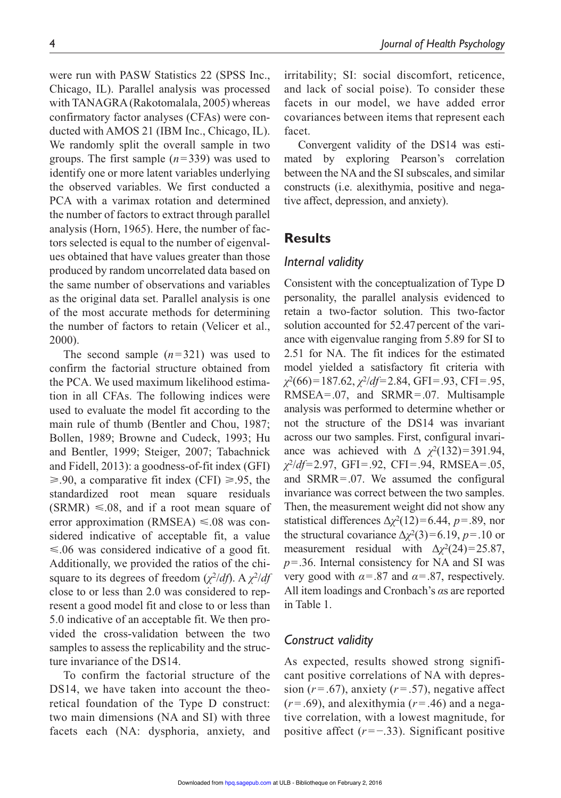were run with PASW Statistics 22 (SPSS Inc., Chicago, IL). Parallel analysis was processed with TANAGRA (Rakotomalala, 2005) whereas confirmatory factor analyses (CFAs) were conducted with AMOS 21 (IBM Inc., Chicago, IL). We randomly split the overall sample in two groups. The first sample (*n*=339) was used to identify one or more latent variables underlying the observed variables. We first conducted a PCA with a varimax rotation and determined the number of factors to extract through parallel analysis (Horn, 1965). Here, the number of factors selected is equal to the number of eigenvalues obtained that have values greater than those produced by random uncorrelated data based on the same number of observations and variables as the original data set. Parallel analysis is one of the most accurate methods for determining the number of factors to retain (Velicer et al., 2000).

The second sample (*n*=321) was used to confirm the factorial structure obtained from the PCA. We used maximum likelihood estimation in all CFAs. The following indices were used to evaluate the model fit according to the main rule of thumb (Bentler and Chou, 1987; Bollen, 1989; Browne and Cudeck, 1993; Hu and Bentler, 1999; Steiger, 2007; Tabachnick and Fidell, 2013): a goodness-of-fit index (GFI) ≥.90, a comparative fit index (CFI) ≥.95, the standardized root mean square residuals  $(SRMR) \leq 0.08$ , and if a root mean square of error approximation (RMSEA)  $\leq 0.08$  was considered indicative of acceptable fit, a value  $\leq 0.06$  was considered indicative of a good fit. Additionally, we provided the ratios of the chisquare to its degrees of freedom (*χ*2/*df*). A *χ*2/*df* close to or less than 2.0 was considered to represent a good model fit and close to or less than 5.0 indicative of an acceptable fit. We then provided the cross-validation between the two samples to assess the replicability and the structure invariance of the DS14.

To confirm the factorial structure of the DS14, we have taken into account the theoretical foundation of the Type D construct: two main dimensions (NA and SI) with three facets each (NA: dysphoria, anxiety, and

irritability; SI: social discomfort, reticence, and lack of social poise). To consider these facets in our model, we have added error covariances between items that represent each facet.

Convergent validity of the DS14 was estimated by exploring Pearson's correlation between the NA and the SI subscales, and similar constructs (i.e. alexithymia, positive and negative affect, depression, and anxiety).

## **Results**

#### *Internal validity*

Consistent with the conceptualization of Type D personality, the parallel analysis evidenced to retain a two-factor solution. This two-factor solution accounted for 52.47 percent of the variance with eigenvalue ranging from 5.89 for SI to 2.51 for NA. The fit indices for the estimated model yielded a satisfactory fit criteria with *χ*2(66)=187.62, *χ*2/*df*=2.84, GFI=.93, CFI=.95, RMSEA=.07, and SRMR=.07. Multisample analysis was performed to determine whether or not the structure of the DS14 was invariant across our two samples. First, configural invariance was achieved with  $\Delta \chi^2(132)=391.94$ , *χ*2/*df*=2.97, GFI=.92, CFI=.94, RMSEA=.05, and SRMR=.07. We assumed the configural invariance was correct between the two samples. Then, the measurement weight did not show any statistical differences  $\Delta \chi^2(12)=6.44$ , *p*=.89, nor the structural covariance  $\Delta \chi^2(3)=6.19$ , *p*=.10 or measurement residual with  $\Delta \chi^2(24) = 25.87$ , *p*=.36. Internal consistency for NA and SI was very good with  $\alpha = 0.87$  and  $\alpha = 0.87$ , respectively. All item loadings and Cronbach's *α*s are reported in Table 1.

#### *Construct validity*

As expected, results showed strong significant positive correlations of NA with depression  $(r=.67)$ , anxiety  $(r=.57)$ , negative affect  $(r=.69)$ , and alexithymia  $(r=.46)$  and a negative correlation, with a lowest magnitude, for positive affect  $(r = -0.33)$ . Significant positive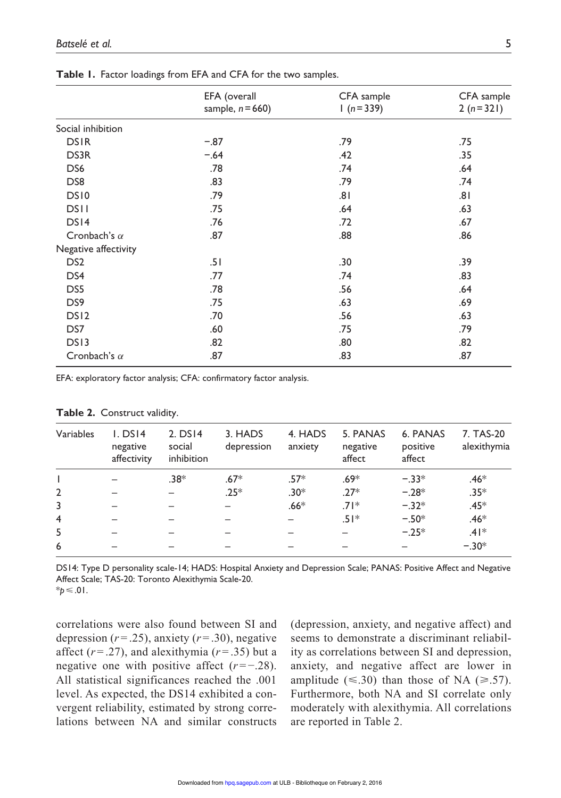|                      | EFA (overall        | CFA sample | CFA sample |  |
|----------------------|---------------------|------------|------------|--|
|                      | sample, $n = 660$ ) | $1(n=339)$ | $2(n=321)$ |  |
| Social inhibition    |                     |            |            |  |
| <b>DSIR</b>          | $-.87$              | .79        | .75        |  |
| DS3R                 | $-.64$              | .42        | .35        |  |
| DS <sub>6</sub>      | .78                 | .74        | .64        |  |
| DS <sub>8</sub>      | .83                 | .79        | .74        |  |
| DS10                 | .79                 | .81        | .81        |  |
| <b>DSII</b>          | .75                 | .64        | .63        |  |
| DS14                 | .76                 | .72        | .67        |  |
| Cronbach's $\alpha$  | .87                 | .88        | .86        |  |
| Negative affectivity |                     |            |            |  |
| DS <sub>2</sub>      | .51                 | .30        | .39        |  |
| DS4                  | .77                 | .74        | .83        |  |
| DS5                  | .78                 | .56        | .64        |  |
| DS <sub>9</sub>      | .75                 | .63        | .69        |  |
| DS <sub>12</sub>     | .70                 | .56        | .63        |  |
| DS7                  | .60                 | .75        | .79        |  |
| DS <sub>13</sub>     | .82                 | .80        | .82        |  |
| Cronbach's $\alpha$  | .87                 | .83        | .87        |  |

**Table 1.** Factor loadings from EFA and CFA for the two samples.

EFA: exploratory factor analysis; CFA: confirmatory factor analysis.

| Variables      | $L$ DS14<br>negative<br>affectivity | $2.$ DS14<br>social<br>inhibition | 3. HADS<br>depression | 4. HADS<br>anxiety | 5. PANAS<br>negative<br>affect | 6. PANAS<br>positive<br>affect | 7. TAS-20<br>alexithymia |
|----------------|-------------------------------------|-----------------------------------|-----------------------|--------------------|--------------------------------|--------------------------------|--------------------------|
|                |                                     | $.38*$                            | $.67*$                | $.57*$             | $.69*$                         | $-.33*$                        | $.46*$                   |
| $\overline{2}$ |                                     |                                   | $.25*$                | $.30*$             | $.27*$                         | $-.28*$                        | $.35*$                   |
| 3              |                                     |                                   |                       | $.66*$             | $.71*$                         | $-.32*$                        | $.45*$                   |
| $\overline{4}$ |                                     |                                   |                       |                    | $.51*$                         | $-.50*$                        | $.46*$                   |
| 5              |                                     |                                   |                       |                    |                                | $-.25*$                        | $.41*$                   |
| 6              |                                     |                                   |                       |                    |                                |                                | $-.30*$                  |

#### **Table 2.** Construct validity.

DS14: Type D personality scale-14; HADS: Hospital Anxiety and Depression Scale; PANAS: Positive Affect and Negative Affect Scale; TAS-20: Toronto Alexithymia Scale-20.

 $*<sub>b</sub>≤.01.$ 

correlations were also found between SI and depression  $(r=.25)$ , anxiety  $(r=.30)$ , negative affect  $(r=.27)$ , and alexithymia  $(r=.35)$  but a negative one with positive affect  $(r = -0.28)$ . All statistical significances reached the .001 level. As expected, the DS14 exhibited a convergent reliability, estimated by strong correlations between NA and similar constructs (depression, anxiety, and negative affect) and seems to demonstrate a discriminant reliability as correlations between SI and depression, anxiety, and negative affect are lower in amplitude ( $\leq$ .30) than those of NA ( $\geq$ .57). Furthermore, both NA and SI correlate only moderately with alexithymia. All correlations are reported in Table 2.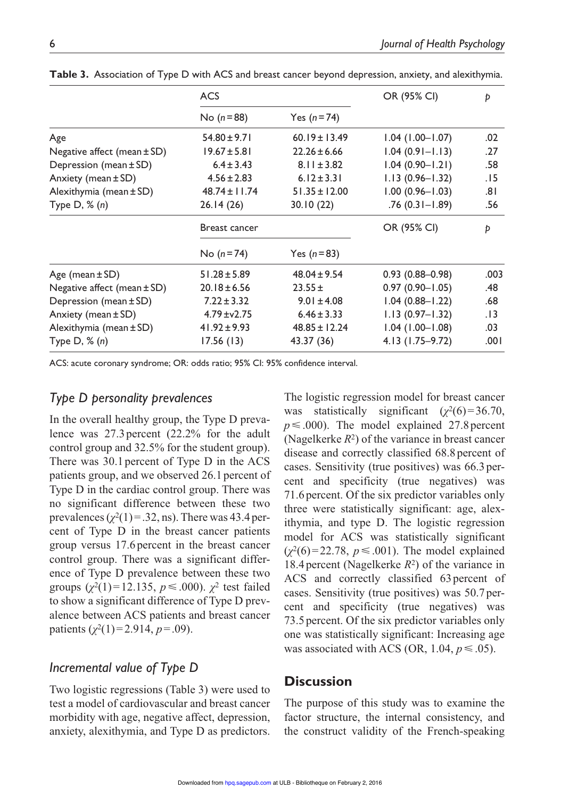|                                 | <b>ACS</b>        |                   | OR (95% CI)         | Þ    |
|---------------------------------|-------------------|-------------------|---------------------|------|
|                                 | No ( $n = 88$ )   | Yes $(n=74)$      |                     |      |
| Age                             | $54.80 \pm 9.71$  | $60.19 \pm 13.49$ | $1.04$ (1.00-1.07)  | .02  |
| Negative affect (mean $\pm$ SD) | $19.67 \pm 5.81$  | $22.26 \pm 6.66$  | $1.04(0.91 - 1.13)$ | .27  |
| Depression (mean ± SD)          | $6.4 \pm 3.43$    | $8.11 \pm 3.82$   | $1.04(0.90 - 1.21)$ | .58  |
| Anxiety (mean $\pm$ SD)         | $4.56 \pm 2.83$   | $6.12 \pm 3.31$   | $1.13(0.96 - 1.32)$ | .15  |
| Alexithymia (mean ± SD)         | $48.74 \pm 11.74$ | $51.35 \pm 12.00$ | $1.00(0.96 - 1.03)$ | .8۱  |
| Type $D, \mathcal{K}(n)$        | 26.14(26)         | 30.10(22)         | $.76(0.31 - 1.89)$  | .56  |
|                                 | Breast cancer     |                   | OR (95% CI)         | Þ    |
|                                 | No $(n=74)$       | Yes $(n=83)$      |                     |      |
| Age (mean $\pm$ SD)             | $51.28 \pm 5.89$  | $48.04 \pm 9.54$  | $0.93(0.88 - 0.98)$ | .003 |
| Negative affect (mean $\pm$ SD) | $20.18 \pm 6.56$  | $23.55 \pm$       | $0.97(0.90 - 1.05)$ | .48  |
| Depression (mean ± SD)          | $7.22 \pm 3.32$   | $9.01 \pm 4.08$   | $1.04(0.88 - 1.22)$ | .68  |
| Anxiety (mean $\pm$ SD)         | $4.79 \pm 2.75$   | $6.46 \pm 3.33$   | $1.13(0.97 - 1.32)$ | .13  |
| Alexithymia (mean ± SD)         | $41.92 \pm 9.93$  | $48.85 \pm 12.24$ | $1.04(1.00 - 1.08)$ | .03  |
| Type $D, \mathcal{H}(n)$        | 17.56(13)         | 43.37 (36)        | 4.13 (1.75–9.72)    | .001 |

**Table 3.** Association of Type D with ACS and breast cancer beyond depression, anxiety, and alexithymia.

ACS: acute coronary syndrome; OR: odds ratio; 95% CI: 95% confidence interval.

## *Type D personality prevalences*

In the overall healthy group, the Type D prevalence was 27.3percent (22.2% for the adult control group and 32.5% for the student group). There was 30.1 percent of Type D in the ACS patients group, and we observed 26.1 percent of Type D in the cardiac control group. There was no significant difference between these two prevalences  $(\chi^2(1)=.32, \text{ns})$ . There was 43.4 percent of Type D in the breast cancer patients group versus 17.6 percent in the breast cancer control group. There was a significant difference of Type D prevalence between these two groups  $(\chi^2(1) = 12.135, p \le .000)$ .  $\chi^2$  test failed to show a significant difference of Type D prevalence between ACS patients and breast cancer patients  $(\chi^2(1)=2.914, p=.09)$ .

## *Incremental value of Type D*

Two logistic regressions (Table 3) were used to test a model of cardiovascular and breast cancer morbidity with age, negative affect, depression, anxiety, alexithymia, and Type D as predictors.

The logistic regression model for breast cancer was statistically significant  $(\chi^2(6)=36.70,$  $p \leq 0.000$ . The model explained 27.8 percent (Nagelkerke  $R^2$ ) of the variance in breast cancer disease and correctly classified 68.8percent of cases. Sensitivity (true positives) was 66.3percent and specificity (true negatives) was 71.6 percent. Of the six predictor variables only three were statistically significant: age, alexithymia, and type D. The logistic regression model for ACS was statistically significant  $(\chi^2(6) = 22.78, p \le .001)$ . The model explained 18.4percent (Nagelkerke *R*2) of the variance in ACS and correctly classified 63percent of cases. Sensitivity (true positives) was 50.7percent and specificity (true negatives) was 73.5 percent. Of the six predictor variables only one was statistically significant: Increasing age was associated with ACS (OR, 1.04,  $p \le .05$ ).

## **Discussion**

The purpose of this study was to examine the factor structure, the internal consistency, and the construct validity of the French-speaking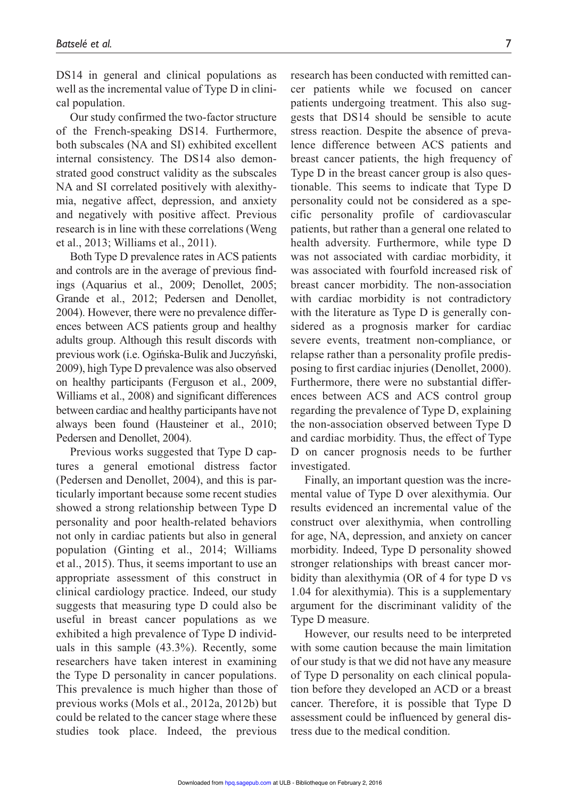DS14 in general and clinical populations as well as the incremental value of Type D in clinical population.

Our study confirmed the two-factor structure of the French-speaking DS14. Furthermore, both subscales (NA and SI) exhibited excellent internal consistency. The DS14 also demonstrated good construct validity as the subscales NA and SI correlated positively with alexithymia, negative affect, depression, and anxiety and negatively with positive affect. Previous research is in line with these correlations (Weng et al., 2013; Williams et al., 2011).

Both Type D prevalence rates in ACS patients and controls are in the average of previous findings (Aquarius et al., 2009; Denollet, 2005; Grande et al., 2012; Pedersen and Denollet, 2004). However, there were no prevalence differences between ACS patients group and healthy adults group. Although this result discords with previous work (i.e. Ogińska-Bulik and Juczyński, 2009), high Type D prevalence was also observed on healthy participants (Ferguson et al., 2009, Williams et al., 2008) and significant differences between cardiac and healthy participants have not always been found (Hausteiner et al., 2010; Pedersen and Denollet, 2004).

Previous works suggested that Type D captures a general emotional distress factor (Pedersen and Denollet, 2004), and this is particularly important because some recent studies showed a strong relationship between Type D personality and poor health-related behaviors not only in cardiac patients but also in general population (Ginting et al., 2014; Williams et al., 2015). Thus, it seems important to use an appropriate assessment of this construct in clinical cardiology practice. Indeed, our study suggests that measuring type D could also be useful in breast cancer populations as we exhibited a high prevalence of Type D individuals in this sample (43.3%). Recently, some researchers have taken interest in examining the Type D personality in cancer populations. This prevalence is much higher than those of previous works (Mols et al., 2012a, 2012b) but could be related to the cancer stage where these studies took place. Indeed, the previous

research has been conducted with remitted cancer patients while we focused on cancer patients undergoing treatment. This also suggests that DS14 should be sensible to acute stress reaction. Despite the absence of prevalence difference between ACS patients and breast cancer patients, the high frequency of Type D in the breast cancer group is also questionable. This seems to indicate that Type D personality could not be considered as a specific personality profile of cardiovascular patients, but rather than a general one related to health adversity. Furthermore, while type D was not associated with cardiac morbidity, it was associated with fourfold increased risk of breast cancer morbidity. The non-association with cardiac morbidity is not contradictory with the literature as Type D is generally considered as a prognosis marker for cardiac severe events, treatment non-compliance, or relapse rather than a personality profile predisposing to first cardiac injuries (Denollet, 2000). Furthermore, there were no substantial differences between ACS and ACS control group regarding the prevalence of Type D, explaining the non-association observed between Type D and cardiac morbidity. Thus, the effect of Type D on cancer prognosis needs to be further investigated.

Finally, an important question was the incremental value of Type D over alexithymia. Our results evidenced an incremental value of the construct over alexithymia, when controlling for age, NA, depression, and anxiety on cancer morbidity. Indeed, Type D personality showed stronger relationships with breast cancer morbidity than alexithymia (OR of 4 for type D vs 1.04 for alexithymia). This is a supplementary argument for the discriminant validity of the Type D measure.

However, our results need to be interpreted with some caution because the main limitation of our study is that we did not have any measure of Type D personality on each clinical population before they developed an ACD or a breast cancer. Therefore, it is possible that Type D assessment could be influenced by general distress due to the medical condition.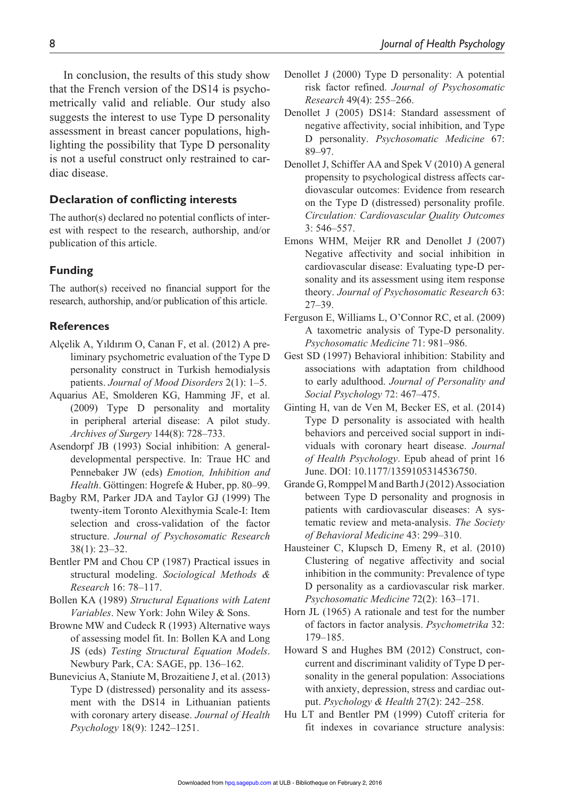In conclusion, the results of this study show that the French version of the DS14 is psychometrically valid and reliable. Our study also suggests the interest to use Type D personality assessment in breast cancer populations, highlighting the possibility that Type D personality is not a useful construct only restrained to cardiac disease.

#### **Declaration of conflicting interests**

The author(s) declared no potential conflicts of interest with respect to the research, authorship, and/or publication of this article.

#### **Funding**

The author(s) received no financial support for the research, authorship, and/or publication of this article.

#### **References**

- Alçelik A, Yıldırım O, Canan F, et al. (2012) A preliminary psychometric evaluation of the Type D personality construct in Turkish hemodialysis patients. *Journal of Mood Disorders* 2(1): 1–5.
- Aquarius AE, Smolderen KG, Hamming JF, et al. (2009) Type D personality and mortality in peripheral arterial disease: A pilot study. *Archives of Surgery* 144(8): 728–733.
- Asendorpf JB (1993) Social inhibition: A generaldevelopmental perspective. In: Traue HC and Pennebaker JW (eds) *Emotion, Inhibition and Health*. Göttingen: Hogrefe & Huber, pp. 80–99.
- Bagby RM, Parker JDA and Taylor GJ (1999) The twenty-item Toronto Alexithymia Scale-I: Item selection and cross-validation of the factor structure. *Journal of Psychosomatic Research* 38(1): 23–32.
- Bentler PM and Chou CP (1987) Practical issues in structural modeling. *Sociological Methods & Research* 16: 78–117.
- Bollen KA (1989) *Structural Equations with Latent Variables*. New York: John Wiley & Sons.
- Browne MW and Cudeck R (1993) Alternative ways of assessing model fit. In: Bollen KA and Long JS (eds) *Testing Structural Equation Models*. Newbury Park, CA: SAGE, pp. 136–162.
- Bunevicius A, Staniute M, Brozaitiene J, et al. (2013) Type D (distressed) personality and its assessment with the DS14 in Lithuanian patients with coronary artery disease. *Journal of Health Psychology* 18(9): 1242–1251.
- Denollet J (2000) Type D personality: A potential risk factor refined. *Journal of Psychosomatic Research* 49(4): 255–266.
- Denollet J (2005) DS14: Standard assessment of negative affectivity, social inhibition, and Type D personality. *Psychosomatic Medicine* 67: 89–97.
- Denollet J, Schiffer AA and Spek V (2010) A general propensity to psychological distress affects cardiovascular outcomes: Evidence from research on the Type D (distressed) personality profile. *Circulation: Cardiovascular Quality Outcomes* 3: 546–557.
- Emons WHM, Meijer RR and Denollet J (2007) Negative affectivity and social inhibition in cardiovascular disease: Evaluating type-D personality and its assessment using item response theory. *Journal of Psychosomatic Research* 63: 27–39.
- Ferguson E, Williams L, O'Connor RC, et al. (2009) A taxometric analysis of Type-D personality. *Psychosomatic Medicine* 71: 981–986.
- Gest SD (1997) Behavioral inhibition: Stability and associations with adaptation from childhood to early adulthood. *Journal of Personality and Social Psychology* 72: 467–475.
- Ginting H, van de Ven M, Becker ES, et al. (2014) Type D personality is associated with health behaviors and perceived social support in individuals with coronary heart disease. *Journal of Health Psychology*. Epub ahead of print 16 June. DOI: 10.1177/1359105314536750.
- Grande G, Romppel M and Barth J (2012) Association between Type D personality and prognosis in patients with cardiovascular diseases: A systematic review and meta-analysis. *The Society of Behavioral Medicine* 43: 299–310.
- Hausteiner C, Klupsch D, Emeny R, et al. (2010) Clustering of negative affectivity and social inhibition in the community: Prevalence of type D personality as a cardiovascular risk marker. *Psychosomatic Medicine* 72(2): 163–171.
- Horn JL (1965) A rationale and test for the number of factors in factor analysis. *Psychometrika* 32: 179–185.
- Howard S and Hughes BM (2012) Construct, concurrent and discriminant validity of Type D personality in the general population: Associations with anxiety, depression, stress and cardiac output. *Psychology & Health* 27(2): 242–258.
- Hu LT and Bentler PM (1999) Cutoff criteria for fit indexes in covariance structure analysis: